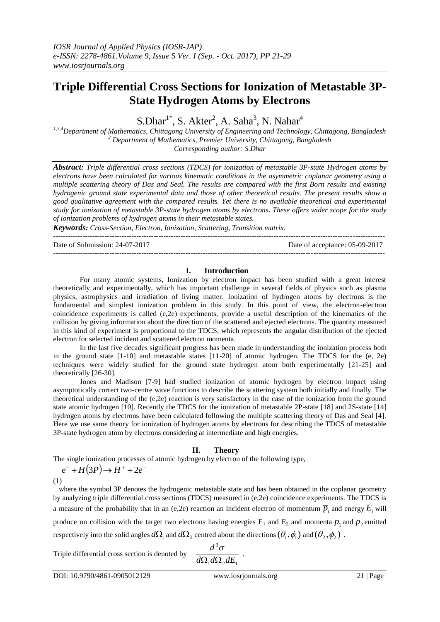# **Triple Differential Cross Sections for Ionization of Metastable 3P-State Hydrogen Atoms by Electrons**

 $S.Dhar<sup>1*</sup>, S. Akter<sup>2</sup>, A. Saha<sup>3</sup>, N. Nahar<sup>4</sup>$ 

*1,3,4Department of Mathematics, Chittagong University of Engineering and Technology, Chittagong, Bangladesh <sup>2</sup> Department of Mathematics, Premier University, Chittagong, Bangladesh Corresponding author: S.Dhar*

*Abstract: Triple differential cross sections (TDCS) for ionization of metastable 3P-state Hydrogen atoms by electrons have been calculated for various kinematic conditions in the asymmetric coplanar geometry using a multiple scattering theory of Das and Seal. The results are compared with the first Born results and existing hydrogenic ground state experimental data and those of other theoretical results. The present results show a good qualitative agreement with the compared results. Yet there is no available theoretical and experimental study for ionization of metastable 3P-state hydrogen atoms by electrons. These offers wider scope for the study of ionization problems of hydrogen atoms in their metastable states.* 

*Keywords: Cross-Section, Electron, Ionization, Scattering, Transition matrix.* ---------------------------------------------------------------------------------------------------------------------------------------

Date of Submission: 24-07-2017 Date of acceptance: 05-09-2017

#### ---------------------------------------------------------------------------------------------------------------------------------------

## **I. Introduction**

For many atomic systems, Ionization by electron impact has been studied with a great interest theoretically and experimentally, which has important challenge in several fields of physics such as plasma physics, astrophysics and irradiation of living matter. Ionization of hydrogen atoms by electrons is the fundamental and simplest ionization problem in this study. In this point of view, the electron-electron coincidence experiments is called (e,2e) experiments, provide a useful description of the kinematics of the collision by giving information about the direction of the scattered and ejected electrons. The quantity measured in this kind of experiment is proportional to the TDCS, which represents the angular distribution of the ejected electron for selected incident and scattered electron momenta.

In the last five decades significant progress has been made in understanding the ionization process both in the ground state  $[1-10]$  and metastable states  $[11-20]$  of atomic hydrogen. The TDCS for the  $(e, 2e)$ techniques were widely studied for the ground state hydrogen atom both experimentally [21-25] and theoretically [26-30].

Jones and Madison [7-9] had studied ionization of atomic hydrogen by electron impact using asymptotically correct two-centre wave functions to describe the scattering system both initially and finally. The theoretical understanding of the (e,2e) reaction is very satisfactory in the case of the ionization from the ground state atomic hydrogen [10]. Recently the TDCS for the ionization of metastable 2P-state [18] and 2S-state [14] hydrogen atoms by electrons have been calculated following the multiple scattering theory of Das and Seal [4]. Here we use same theory for ionization of hydrogen atoms by electrons for describing the TDCS of metastable 3P-state hydrogen atom by electrons considering at intermediate and high energies.

# **II. Theory**

The single ionization processes of atomic hydrogen by electron of the following type,

$$
e^- + H(3P) \rightarrow H^+ + 2e^-
$$

(1)

where the symbol 3P denotes the hydrogenic metastable state and has been obtained in the coplanar geometry by analyzing triple differential cross sections (TDCS) measured in (e,2e) coincidence experiments. The TDCS is a measure of the probability that in an (e,2e) reaction an incident electron of momentum  $\overline{p}_i$  and energy  $E_i$  will produce on collision with the target two electrons having energies  $E_1$  and  $E_2$  and momenta  $\overline{p}_1$  and  $\overline{p}_2$  emitted respectively into the solid angles  $d\Omega_1$  and  $d\Omega_2$  centred about the directions  $(\theta_1,\phi_1)$  and  $(\theta_2,\phi_2)$  .

Triple differential cross section is denoted by

$$
\frac{d^3\sigma}{d\Omega_1 d\Omega_2 dE_1}
$$

.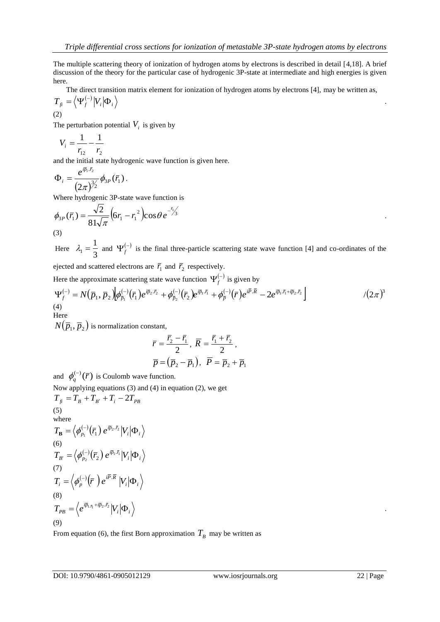.

The multiple scattering theory of ionization of hydrogen atoms by electrons is described in detail [4,18]. A brief discussion of the theory for the particular case of hydrogenic 3P-state at intermediate and high energies is given here.

The direct transition matrix element for ionization of hydrogen atoms by electrons [4], may be written as,

$$
T_{fi} = \left\langle \Psi_f^{(-)} | V_i | \Phi_i \right\rangle
$$

(2)

The perturbation potential  $V_i$  is given by

$$
V_i = \frac{1}{r_{12}} - \frac{1}{r_2}
$$

and the initial state hydrogenic wave function is given here.

$$
\Phi_i = \frac{e^{i\bar{p}_i \cdot \bar{r}_2}}{(2\pi)^{3/2}} \phi_{3P}(\bar{r}_1).
$$

Where hydrogenic 3P-state wave function is

$$
\phi_{3P}(\bar{r}_1) = \frac{\sqrt{2}}{81\sqrt{\pi}} \Big(6r_1 - r_1^2\Big) \cos\theta \, e^{-\frac{r_1}{3}} \qquad \qquad .
$$

(3)

Here  $\lambda_1 = \frac{1}{3}$  $\lambda_1 = \frac{1}{2}$  and  $\Psi_f^{(-)}$  is the final three-particle scattering state wave function [4] and co-ordinates of the

ejected and scattered electrons are  $\bar{r}_1$  and  $\bar{r}_2$  respectively.

Here the approximate scattering state wave function  $\Psi_f^{(-)}$  is given by

$$
\Psi_f^{(-)} = N(\bar{p}_1, \bar{p}_2) \Big[ \phi_{\bar{p}_1}^{(-)}(\bar{r}_1) e^{i \bar{p}_2 \cdot \bar{r}_2} + \phi_{\bar{p}_2}^{(-)}(\bar{r}_2) e^{i \bar{p}_1 \cdot \bar{r}_1} + \phi_{\bar{p}}^{(-)}(\bar{r}) e^{i \bar{r} \cdot \bar{R}} - 2 e^{i \bar{p}_1 \cdot \bar{r}_1 + i \bar{p}_2 \cdot \bar{r}_2} \Big]
$$
\n(4)

Here

 $N(\bar{p}_1, \bar{p}_2)$  is normalization constant,

$$
\bar{r} = \frac{\bar{r}_2 - \bar{r}_1}{2}, \ \bar{R} = \frac{\bar{r}_1 + \bar{r}_2}{2}, \n\bar{p} = (\bar{p}_2 - \bar{p}_1), \ \ \bar{P} = \bar{p}_2 + \bar{p}_1
$$

and  $\phi_q^{(-)}(\bar{r})$  is Coulomb wave function.

Now applying equations (3) and (4) in equation (2), we get  $T_{f_i} = T_B + T_{B'} + T_i - 2T_{PB}$ (5) where  $T_{\mathbf{B}} = \left\langle \pmb{\phi}_{p_1}^{(-)} \big( \bar{r}_1 \big) \, e^{i \bar{p}_2 . \bar{r}_2} \big| V_i \big| \Phi_i \right\rangle$ 1  $\mathbf{F}_{\mathbf{B}}=\left\langle \pmb{\phi}_{p_{1}}^{(-)}\big(\bar{r}_{1}^{\phantom{\dag}}\big)\,e^{\bar{\imath}\bar{p}_{2}\bar{\imath}}\right\rangle$ (6)  $T_{B'} = \Bigl< \phi_{p_2}^{(-)} \bigl( \bar{r}_{\!\scriptscriptstyle 2}^{} \bigr> \bigr> e^{\bar{i}\bar{p}_1\cdot \bar{r}_1} \bigl| V_{i} \bigr| \Phi_{i'}^{}$ 2  $\left(\phi_{p_2}^{(-)}\!\left(\bar{r}_2\right)e^{i\bar{p}_1\cdot\bar{p}_2}\right)$ (7)

$$
T_i = \left\langle \phi_p^{(-)}(\overline{r}) e^{i\overline{r} \cdot \overline{R}} |V_i| \Phi_i \right\rangle
$$
  
(8)  

$$
T_{PB} = \left\langle e^{i\overline{p}_{1,\overline{r}_1} + i\overline{p}_2 \cdot \overline{r}_2} |V_i| \Phi_i \right\rangle
$$

(9)

From equation (6), the first Born approximation  $T_B$  may be written as

.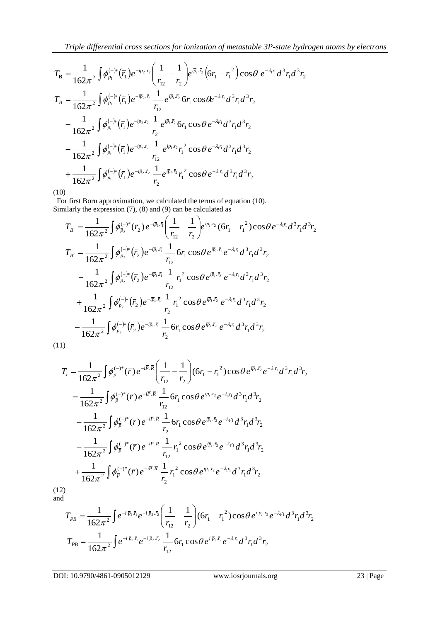$$
T_{\rm B} = \frac{1}{162\pi^2} \int \phi_{p_1}^{(-)*}(\bar{r}_1) e^{-i\bar{p}_2 \cdot \bar{r}_2} \left( \frac{1}{r_{12}} - \frac{1}{r_2} \right) e^{i\bar{p}_1 \cdot \bar{r}_2} \left( 6r_1 - r_1^2 \right) \cos\theta \ e^{-\lambda_1 r_1} d^3 r_1 d^3 r_2
$$
  
\n
$$
T_{\rm B} = \frac{1}{162\pi^2} \int \phi_{p_1}^{(-)*}(\bar{r}_1) e^{-i\bar{p}_2 \cdot \bar{r}_2} \frac{1}{r_{12}} e^{i\bar{p}_1 \cdot \bar{r}_2} 6r_1 \cos\theta e^{-\lambda_1 r_1} d^3 r_1 d^3 r_2
$$
  
\n
$$
- \frac{1}{162\pi^2} \int \phi_{p_1}^{(-)*}(\bar{r}_1) e^{-i\bar{p}_2 \cdot \bar{r}_2} \frac{1}{r_2} e^{i\bar{p}_1 \cdot \bar{r}_2} 6r_1 \cos\theta e^{-\lambda_1 r_1} d^3 r_1 d^3 r_2
$$
  
\n
$$
- \frac{1}{162\pi^2} \int \phi_{p_1}^{(-)*}(\bar{r}_1) e^{-i\bar{p}_2 \cdot \bar{r}_2} \frac{1}{r_{12}} e^{i\bar{p}_1 \cdot \bar{r}_2} r_1^2 \cos\theta e^{-\lambda_1 r_1} d^3 r_1 d^3 r_2
$$
  
\n
$$
+ \frac{1}{162\pi^2} \int \phi_{p_1}^{(-)*}(\bar{r}_1) e^{-i\bar{p}_2 \cdot \bar{r}_2} \frac{1}{r_2} e^{i\bar{p}_1 \cdot \bar{r}_2} r_1^2 \cos\theta e^{-\lambda_1 r_1} d^3 r_1 d^3 r_2
$$

(10)

 For first Born approximation, we calculated the terms of equation (10). Similarly the expression  $(7)$ ,  $(8)$  and  $(9)$  can be calculated as

$$
T_{B'} = \frac{1}{162\pi^2} \int \phi_{\bar{p}_2}^{(-)*}(\bar{r}_2) e^{-i\bar{p}_1.\bar{r}_1} \left(\frac{1}{r_{12}} - \frac{1}{r_2}\right) e^{i\bar{p}_1.\bar{r}_2} (6r_1 - r_1^2) \cos\theta e^{-\lambda_1 r_1} d^3r_1 d^3r_2
$$
  
\n
$$
T_{B'} = \frac{1}{162\pi^2} \int \phi_{p_2}^{(-)*}(\bar{r}_2) e^{-i\bar{p}_1.\bar{r}_1} \frac{1}{r_{12}} 6r_1 \cos\theta e^{i\bar{p}_1.\bar{r}_2} e^{-\lambda_1 r_1} d^3r_1 d^3r_2
$$
  
\n
$$
- \frac{1}{162\pi^2} \int \phi_{p_2}^{(-)*}(\bar{r}_2) e^{-i\bar{p}_1.\bar{r}_1} \frac{1}{r_{12}} r_1^2 \cos\theta e^{i\bar{p}_1.\bar{r}_2} e^{-\lambda_1 r_1} d^3r_1 d^3r_2
$$
  
\n
$$
+ \frac{1}{162\pi^2} \int \phi_{p_2}^{(-)*}(\bar{r}_2) e^{-i\bar{p}_1.\bar{r}_1} \frac{1}{r_2} r_1^2 \cos\theta e^{i\bar{p}_1.\bar{r}_2} e^{-\lambda_1 r_1} d^3r_1 d^3r_2
$$
  
\n
$$
- \frac{1}{162\pi^2} \int \phi_{p_2}^{(-)*}(\bar{r}_2) e^{-i\bar{p}_1.\bar{r}_1} \frac{1}{r_2} 6r_1 \cos\theta e^{i\bar{p}_1.\bar{r}_2} e^{-\lambda_1 r_1} d^3r_1 d^3r_2
$$

(11)

$$
T_{i} = \frac{1}{162\pi^{2}} \int \phi_{\bar{p}}^{(-)^{*}}(\bar{r}) e^{-i\bar{P} \cdot \bar{R}} \left( \frac{1}{r_{12}} - \frac{1}{r_{2}} \right) (6r_{1} - r_{1}^{2}) \cos \theta e^{i\bar{p}_{i} \cdot \bar{r}_{2}} e^{-\lambda_{1} r_{1}} d^{3}r_{1} d^{3}r_{2}
$$
  
\n
$$
= \frac{1}{162\pi^{2}} \int \phi_{\bar{p}}^{(-)^{*}}(\bar{r}) e^{-i\bar{P} \cdot \bar{R}} \frac{1}{r_{12}} 6r_{1} \cos \theta e^{i\bar{p}_{i} \cdot \bar{r}_{2}} e^{-\lambda_{1} r_{1}} d^{3}r_{1} d^{3}r_{2}
$$
  
\n
$$
- \frac{1}{162\pi^{2}} \int \phi_{\bar{p}}^{(-)^{*}}(\bar{r}) e^{-i\bar{P} \cdot \bar{R}} \frac{1}{r_{2}} 6r_{1} \cos \theta e^{i\bar{p}_{i} \cdot \bar{r}_{2}} e^{-\lambda_{1} r_{1}} d^{3}r_{1} d^{3}r_{2}
$$
  
\n
$$
- \frac{1}{162\pi^{2}} \int \phi_{\bar{p}}^{(-)^{*}}(\bar{r}) e^{-i\bar{P} \cdot \bar{R}} \frac{1}{r_{12}} r_{1}^{2} \cos \theta e^{i\bar{p}_{i} \cdot \bar{r}_{2}} e^{-\lambda_{1} r_{1}} d^{3}r_{1} d^{3}r_{2}
$$
  
\n
$$
+ \frac{1}{162\pi^{2}} \int \phi_{\bar{p}}^{(-)^{*}}(\bar{r}) e^{-i\bar{P} \cdot \bar{R}} \frac{1}{r_{2}} r_{1}^{2} \cos \theta e^{i\bar{p}_{i} \cdot \bar{r}_{2}} e^{-\lambda_{1} r_{1}} d^{3}r_{1} d^{3}r_{2}
$$

(12) and

$$
T_{PB} = \frac{1}{162\pi^2} \int e^{-i\,\overline{p}_1.\overline{r}_1} e^{-i\,\overline{p}_2.\overline{r}_2} \left(\frac{1}{r_{12}} - \frac{1}{r_2}\right) (6r_1 - r_1^2) \cos\theta \, e^{i\,\overline{p}_1.\overline{r}_2} e^{-\lambda_1 r_1} \, d^3r_1 \, d^3r_2
$$
\n
$$
T_{PB} = \frac{1}{162\pi^2} \int e^{-i\,\overline{p}_1.\overline{r}_1} e^{-i\,\overline{p}_2.\overline{r}_2} \frac{1}{r_{12}} 6r_1 \cos\theta \, e^{i\,\overline{p}_1.\overline{r}_2} e^{-\lambda_1 r_1} \, d^3r_1 \, d^3r_2
$$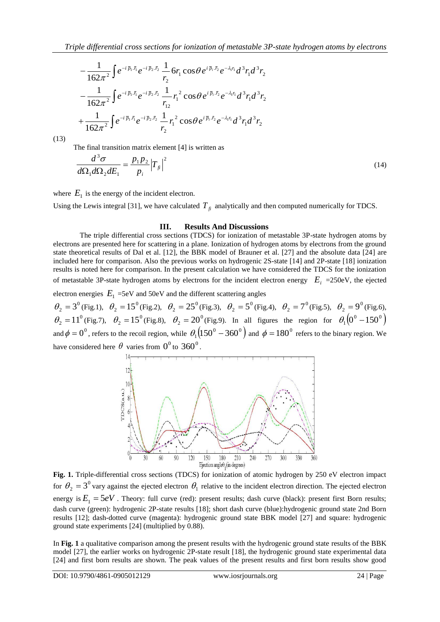$$
-\frac{1}{162\pi^{2}}\int e^{-i\bar{p}_{1}\bar{r}_{1}}e^{-i\bar{p}_{2}\bar{r}_{2}}\frac{1}{r_{2}}6r_{1}\cos\theta e^{i\bar{p}_{1}\bar{r}_{2}}e^{-\lambda_{1}r_{1}}d^{3}r_{1}d^{3}r_{2}
$$
  

$$
-\frac{1}{162\pi^{2}}\int e^{-i\bar{p}_{1}\bar{r}_{1}}e^{-i\bar{p}_{2}\bar{r}_{2}}\frac{1}{r_{12}}r_{1}^{2}\cos\theta e^{i\bar{p}_{1}\bar{r}_{2}}e^{-\lambda_{1}r_{1}}d^{3}r_{1}d^{3}r_{2}
$$
  

$$
+\frac{1}{162\pi^{2}}\int e^{-i\bar{p}_{1}\bar{r}_{1}}e^{-i\bar{p}_{2}\bar{r}_{2}}\frac{1}{r_{2}}r_{1}^{2}\cos\theta e^{i\bar{p}_{1}\bar{r}_{2}}e^{-\lambda_{1}r_{1}}d^{3}r_{1}d^{3}r_{2}
$$

(13)

The final transition matrix element  $[4]$  is written as

$$
\frac{d^3\sigma}{d\Omega_1 d\Omega_2 dE_1} = \frac{p_1 p_2}{p_i} \left| T_{f_i} \right|^2 \tag{14}
$$

where  $E_1$  is the energy of the incident electron.

Using the Lewis integral [31], we have calculated  $T_{\hat{f}}$  analytically and then computed numerically for TDCS.

### **III. Results And Discussions**

The triple differential cross sections (TDCS) for ionization of metastable 3P-state hydrogen atoms by electrons are presented here for scattering in a plane. Ionization of hydrogen atoms by electrons from the ground state theoretical results of Dal et al. [12], the BBK model of Brauner et al. [27] and the absolute data [24] are included here for comparison. Also the previous works on hydrogenic 2S-state [14] and 2P-state [18] ionization results is noted here for comparison. In the present calculation we have considered the TDCS for the ionization of metastable 3P-state hydrogen atoms by electrons for the incident electron energy  $E_i = 250 \text{eV}$ , the ejected electron energies  $E_1$  =5eV and 50eV and the different scattering angles  $\theta_2 = 3^0$  (Fig.1),  $\theta_2 = 15^0$  (Fig.2),  $\theta_2 = 25^0$  (Fig.3),  $\theta_2 = 5^0$  (Fig.4),  $\theta_2 = 7^0$  (Fig.5),  $\theta_2 = 9^0$  (Fig.6),  $\theta_2 = 11^0$  (Fig.7),  $\theta_2 = 15^0$  (Fig.8),  $\theta_2 = 20^0$  (Fig.9). In all figures the region for  $\theta_1(0^0 - 150^0)$ and  $\phi = 0^0$ , refers to the recoil region, while  $\theta_1(150^0 - 360^0)$  and  $\phi = 180^0$  refers to the binary region. We have considered here  $\theta$  varies from  $0^0$  to  $360^0$ .



**Fig. 1.** Triple-differential cross sections (TDCS) for ionization of atomic hydrogen by 250 eV electron impact for  $\theta_2 = 3^0$  vary against the ejected electron  $\theta_1$  relative to the incident electron direction. The ejected electron energy is  $E_1 = 5eV$ . Theory: full curve (red): present results; dash curve (black): present first Born results; dash curve (green): hydrogenic 2P-state results [18]; short dash curve (blue):hydrogenic ground state 2nd Born results [12]; dash-dotted curve (magenta): hydrogenic ground state BBK model [27] and square: hydrogenic ground state experiments [24] (multiplied by 0.88).

In **Fig. 1** a qualitative comparison among the present results with the hydrogenic ground state results of the BBK model [27], the earlier works on hydrogenic 2P-state result [18], the hydrogenic ground state experimental data [24] and first born results are shown. The peak values of the present results and first born results show good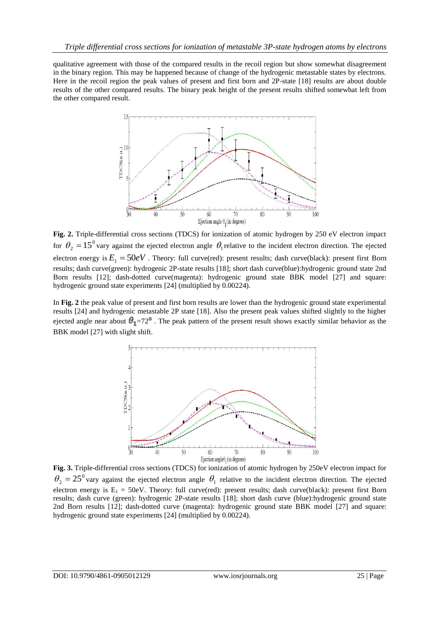qualitative agreement with those of the compared results in the recoil region but show somewhat disagreement in the binary region. This may be happened because of change of the hydrogenic metastable states by electrons. Here in the recoil region the peak values of present and first born and 2P-state [18] results are about double results of the other compared results. The binary peak height of the present results shifted somewhat left from the other compared result.



**Fig. 2.** Triple-differential cross sections (TDCS) for ionization of atomic hydrogen by 250 eV electron impact for  $\theta_2 = 15^0$  vary against the ejected electron angle  $\theta_1$  relative to the incident electron direction. The ejected electron energy is  $E_1 = 50eV$ . Theory: full curve(red): present results; dash curve(black): present first Born results; dash curve(green): hydrogenic 2P-state results [18]; short dash curve(blue):hydrogenic ground state 2nd Born results [12]; dash-dotted curve(magenta): hydrogenic ground state BBK model [27] and square: hydrogenic ground state experiments [24] (multiplied by 0.00224).

In **Fig. 2** the peak value of present and first born results are lower than the hydrogenic ground state experimental results [24] and hydrogenic metastable 2P state [18]. Also the present peak values shifted slightly to the higher ejected angle near about  $\theta_1 = 72^\circ$ . The peak pattern of the present result shows exactly similar behavior as the BBK model [27] with slight shift.



**Fig. 3.** Triple-differential cross sections (TDCS) for ionization of atomic hydrogen by 250eV electron impact for  $\theta_2 = 25^{\circ}$  vary against the ejected electron angle  $\theta_1$  relative to the incident electron direction. The ejected electron energy is  $E_1 = 50$ eV. Theory: full curve(red): present results; dash curve(black): present first Born results; dash curve (green): hydrogenic 2P-state results [18]; short dash curve (blue):hydrogenic ground state 2nd Born results [12]; dash-dotted curve (magenta): hydrogenic ground state BBK model [27] and square: hydrogenic ground state experiments [24] (multiplied by 0.00224).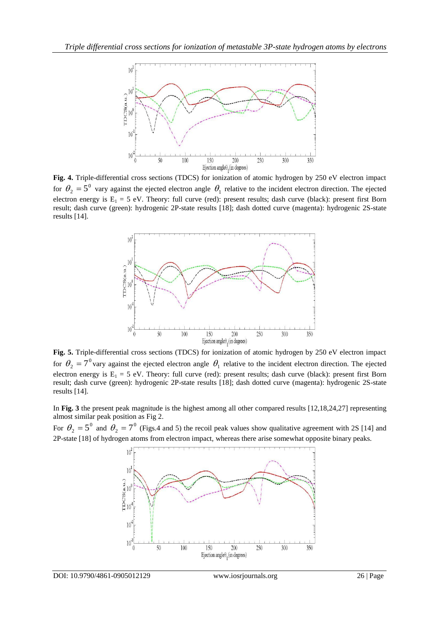

**Fig. 4.** Triple-differential cross sections (TDCS) for ionization of atomic hydrogen by 250 eV electron impact for  $\theta_2 = 5^{\circ}$  vary against the ejected electron angle  $\theta_1$  relative to the incident electron direction. The ejected electron energy is  $E_1 = 5$  eV. Theory: full curve (red): present results; dash curve (black): present first Born result; dash curve (green): hydrogenic 2P-state results [18]; dash dotted curve (magenta): hydrogenic 2S-state results [14].



**Fig. 5.** Triple-differential cross sections (TDCS) for ionization of atomic hydrogen by 250 eV electron impact for  $\theta_2 = 7^0$  vary against the ejected electron angle  $\theta_1$  relative to the incident electron direction. The ejected electron energy is  $E_1 = 5$  eV. Theory: full curve (red): present results; dash curve (black): present first Born result; dash curve (green): hydrogenic 2P-state results [18]; dash dotted curve (magenta): hydrogenic 2S-state results [14].

In **Fig. 3** the present peak magnitude is the highest among all other compared results [12,18,24,27] representing almost similar peak position as Fig 2.

For  $\theta_2 = 5^0$  and  $\theta_2 = 7^0$  (Figs.4 and 5) the recoil peak values show qualitative agreement with 2S [14] and 2P-state [18] of hydrogen atoms from electron impact, whereas there arise somewhat opposite binary peaks.

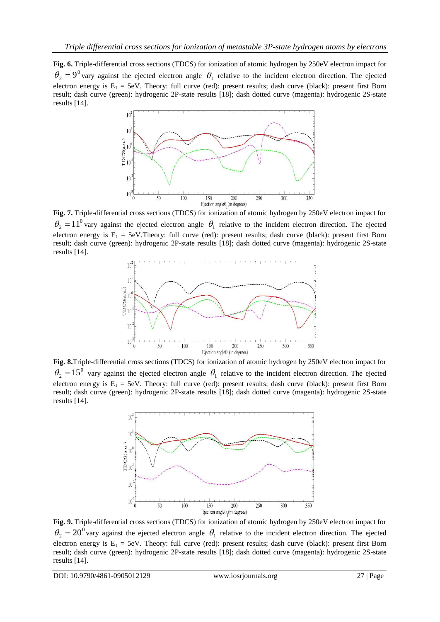**Fig. 6.** Triple-differential cross sections (TDCS) for ionization of atomic hydrogen by 250eV electron impact for  $\theta_2 = 9^{\circ}$  vary against the ejected electron angle  $\theta_1$  relative to the incident electron direction. The ejected electron energy is  $E_1 = 5eV$ . Theory: full curve (red): present results; dash curve (black): present first Born result; dash curve (green): hydrogenic 2P-state results [18]; dash dotted curve (magenta): hydrogenic 2S-state results [14].



**Fig. 7.** Triple-differential cross sections (TDCS) for ionization of atomic hydrogen by 250eV electron impact for  $\theta_2 = 11^0$  vary against the ejected electron angle  $\theta_1$  relative to the incident electron direction. The ejected electron energy is  $E_1 = 5eV$ . Theory: full curve (red): present results; dash curve (black): present first Born result; dash curve (green): hydrogenic 2P-state results [18]; dash dotted curve (magenta): hydrogenic 2S-state results [14].



**Fig. 8.**Triple-differential cross sections (TDCS) for ionization of atomic hydrogen by 250eV electron impact for  $\theta_2 = 15^{\circ}$  vary against the ejected electron angle  $\theta_1$  relative to the incident electron direction. The ejected electron energy is  $E_1 = 5eV$ . Theory: full curve (red): present results; dash curve (black): present first Born result; dash curve (green): hydrogenic 2P-state results [18]; dash dotted curve (magenta): hydrogenic 2S-state results [14].



**Fig. 9.** Triple-differential cross sections (TDCS) for ionization of atomic hydrogen by 250eV electron impact for  $\theta_2 = 20^{\circ}$  vary against the ejected electron angle  $\theta_1$  relative to the incident electron direction. The ejected electron energy is  $E_1 = 5eV$ . Theory: full curve (red): present results; dash curve (black): present first Born result; dash curve (green): hydrogenic 2P-state results [18]; dash dotted curve (magenta): hydrogenic 2S-state results [14].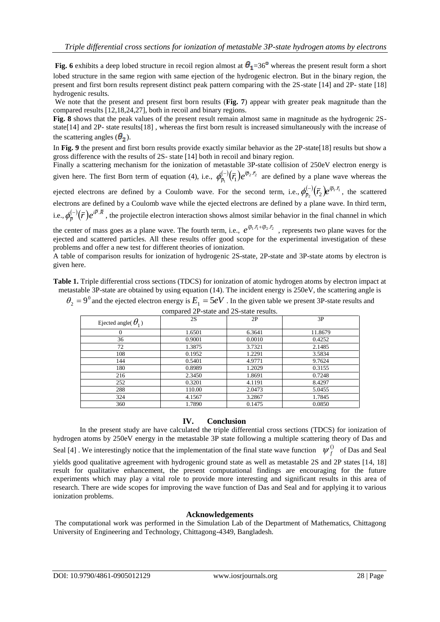**Fig.** 6 exhibits a deep lobed structure in recoil region almost at  $\theta_1 = 36^\circ$  whereas the present result form a short lobed structure in the same region with same ejection of the hydrogenic electron. But in the binary region, the present and first born results represent distinct peak pattern comparing with the 2S-state [14] and 2P- state [18] hydrogenic results.

We note that the present and present first born results (**Fig.** 7) appear with greater peak magnitude than the compared results [12,18,24,27], both in recoil and binary regions.

**Fig. 8** shows that the peak values of the present result remain almost same in magnitude as the hydrogenic 2Sstate[14] and 2P- state results[18] , whereas the first born result is increased simultaneously with the increase of the scattering angles  $(\theta_2)$ .

In **Fig. 9** the present and first born results provide exactly similar behavior as the 2P-state[18] results but show a gross difference with the results of 2S- state [14] both in recoil and binary region.

Finally a scattering mechanism for the ionization of metastable 3P-state collision of 250eV electron energy is given here. The first Born term of equation (4), i.e.,  $\phi_{\overline{n}}^{(-)}(\overline{r}_1)e^{i\overline{p}_2 \cdot \overline{r}_2}$ 1 . 1  $i\bar{p}_2 \cdot \bar{r}$  $\phi_{\bar{p}_1}^{(-)}(\bar{r}_1) e^{i\bar{p}_2 \cdot \bar{r}_2}$  are defined by a plane wave whereas the ejected electrons are defined by a Coulomb wave. For the second term, i.e.,  $\phi_{\bar{n}}^{(-)}(\bar{r},) e^{i\bar{p}_1 \cdot \bar{r}_1}$ 2 . 2  $i\overline{p}_1 \cdot \overline{r}$  $\phi_{\bar{p}_2}^{(-)}(\bar{r}_2)e^{i\bar{p}_1 \cdot \bar{r}_1}$ , the scattered electrons are defined by a Coulomb wave while the ejected electrons are defined by a plane wave. In third term, i.e.,  $\phi_{\overline{n}}^{(-)}(\overline{r})e^{i\overline{P}.\overline{R}}$  $\phi_{\overline{p}}^{(-)}(\overline{r})e^{i\overline{p}.\overline{R}}$ , the projectile electron interaction shows almost similar behavior in the final channel in which

the center of mass goes as a plane wave. The fourth term, i.e.,  $e^{i\bar{p}_1 \cdot \bar{r}_1 + i\bar{p}_2 \cdot \bar{r}_2}$ , represents two plane waves for the ejected and scattered particles. All these results offer good scope for the experimental investigation of these problems and offer a new test for different theories of ionization.

A table of comparison results for ionization of hydrogenic 2S-state, 2P-state and 3P-state atoms by electron is given here.

**Table 1.** Triple differential cross sections (TDCS) for ionization of atomic hydrogen atoms by electron impact at metastable 3P-state are obtained by using equation (14). The incident energy is 250eV, the scattering angle is

| compared ZP-state and ZS-state results. |        |        |         |
|-----------------------------------------|--------|--------|---------|
| Ejected angle( $\theta_1$ )             | 2S     | 2P     | 3P      |
|                                         | 1.6501 | 6.3641 | 11.8679 |
| 36                                      | 0.9001 | 0.0010 | 0.4252  |
| 72                                      | 1.3875 | 3.7321 | 2.1485  |
| 108                                     | 0.1952 | 1.2291 | 3.5834  |
| 144                                     | 0.5401 | 4.9771 | 9.7624  |
| 180                                     | 0.8989 | 1.2029 | 0.3155  |
| 216                                     | 2.3450 | 1.8691 | 0.7248  |
| 252                                     | 0.3201 | 4.1191 | 8.4297  |
| 288                                     | 110.00 | 2.0473 | 5.0455  |
| 324                                     | 4.1567 | 3.2867 | 1.7845  |
| 360                                     | 1.7890 | 0.1475 | 0.0850  |

 $\theta_2 = 9^{\circ}$  and the ejected electron energy is  $E_1 = 5eV$ . In the given table we present 3P-state results and compared 2P-state and 2S-state results.

## **IV. Conclusion**

In the present study are have calculated the triple differential cross sections (TDCS) for ionization of hydrogen atoms by 250eV energy in the metastable 3P state following a multiple scattering theory of Das and Seal [4] . We interestingly notice that the implementation of the final state wave function  $\psi_f^0$  of Das and Seal yields good qualitative agreement with hydrogenic ground state as well as metastable 2S and 2P states [14, 18] result for qualitative enhancement, the present computational findings are encouraging for the future experiments which may play a vital role to provide more interesting and significant results in this area of research. There are wide scopes for improving the wave function of Das and Seal and for applying it to various ionization problems.

## **Acknowledgements**

The computational work was performed in the Simulation Lab of the Department of Mathematics, Chittagong University of Engineering and Technology, Chittagong-4349, Bangladesh.